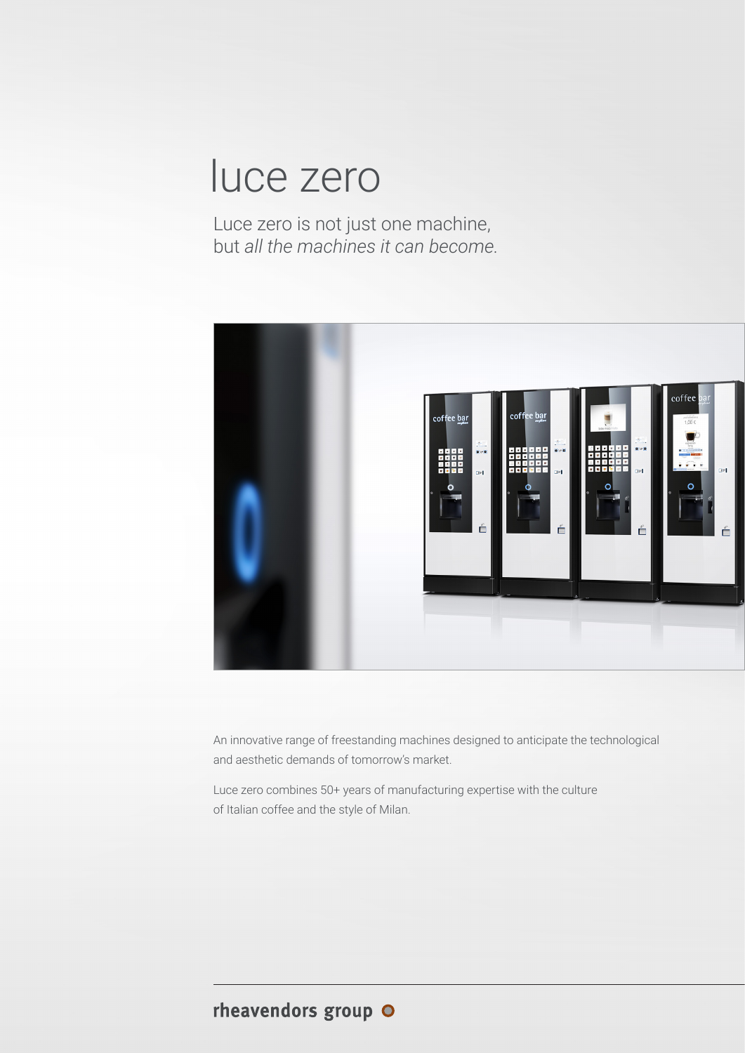## luce zero

Luce zero is not just one machine, but *all the machines it can become.*



An innovative range of freestanding machines designed to anticipate the technological and aesthetic demands of tomorrow's market.

Luce zero combines 50+ years of manufacturing expertise with the culture of Italian coffee and the style of Milan.

## rheavendors group O